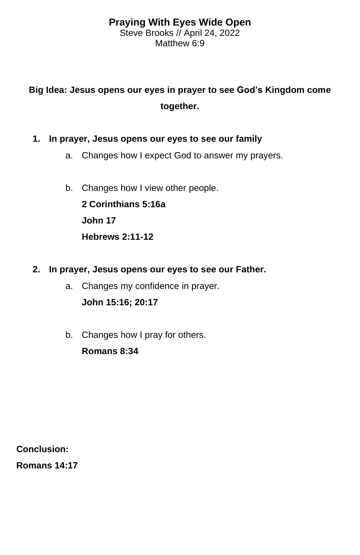## **Praying With Eyes Wide Open** Steve Brooks // April 24, 2022 Matthew 6:9

## **Big Idea: Jesus opens our eyes in prayer to see God's Kingdom come together.**

- **1. In prayer, Jesus opens our eyes to see our family**
	- a. Changes how I expect God to answer my prayers.
	- b. Changes how I view other people.

**2 Corinthians 5:16a John 17 Hebrews 2:11-12**

- **2. In prayer, Jesus opens our eyes to see our Father.**
	- a. Changes my confidence in prayer. **John 15:16; 20:17**
	- b. Changes how I pray for others. **Romans 8:34**

**Conclusion:**

**Romans 14:17**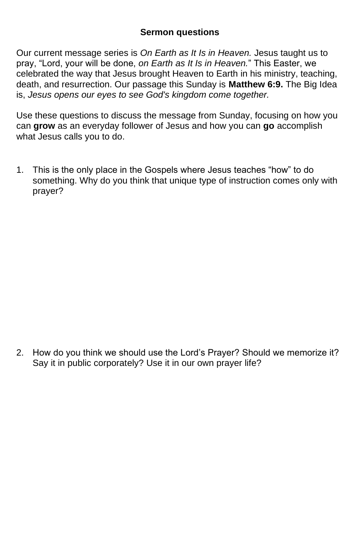## **Sermon questions**

Our current message series is *On Earth as It Is in Heaven.* Jesus taught us to pray, "Lord, your will be done, *on Earth as It Is in Heaven.*" This Easter, we celebrated the way that Jesus brought Heaven to Earth in his ministry, teaching, death, and resurrection. Our passage this Sunday is **Matthew 6:9.** The Big Idea is, *Jesus opens our eyes to see God's kingdom come together.*

Use these questions to discuss the message from Sunday, focusing on how you can **grow** as an everyday follower of Jesus and how you can **go** accomplish what Jesus calls you to do.

1. This is the only place in the Gospels where Jesus teaches "how" to do something. Why do you think that unique type of instruction comes only with prayer?

2. How do you think we should use the Lord's Prayer? Should we memorize it? Say it in public corporately? Use it in our own prayer life?